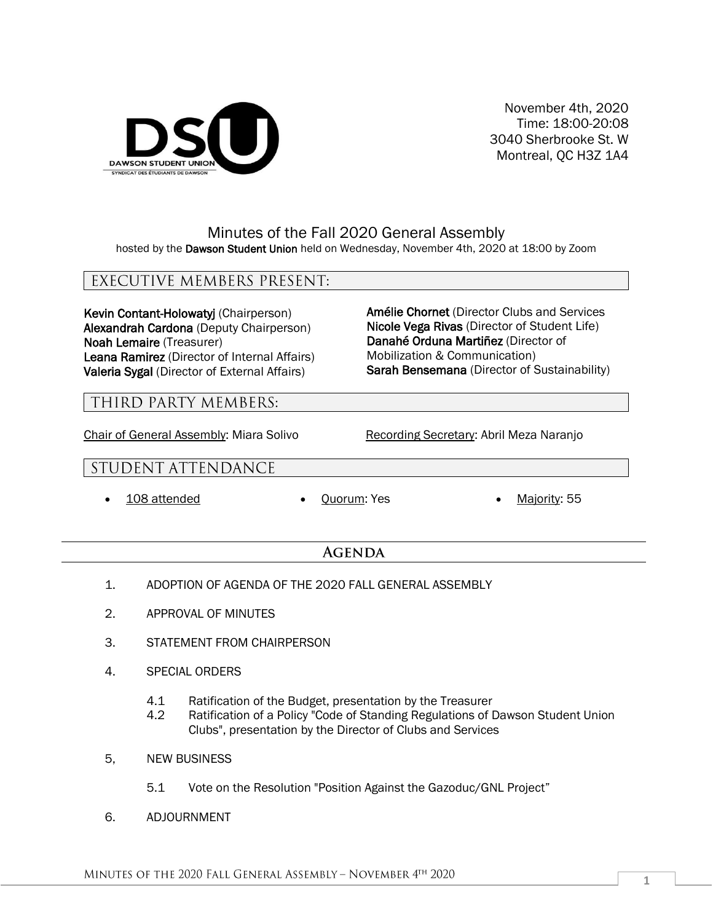

November 4th, 2020 Time: 18:00-20:08 3040 Sherbrooke St. W Montreal, QC H3Z 1A4

## Minutes of the Fall 2020 General Assembly hosted by the Dawson Student Union held on Wednesday, November 4th, 2020 at 18:00 by Zoom

# EXECUTIVE MEMBERS PRESENT:

Kevin Contant-Holowatyj (Chairperson) Alexandrah Cardona (Deputy Chairperson) Noah Lemaire (Treasurer) Leana Ramirez (Director of Internal Affairs) Valeria Sygal (Director of External Affairs)

## Amélie Chornet (Director Clubs and Services Nicole Vega Rivas (Director of Student Life) Danahé Orduna Martiñez (Director of Mobilization & Communication) Sarah Bensemana (Director of Sustainability)

## THIRD PARTY MEMBERS:

Chair of General Assembly: Miara Solivo Recording Secretary: Abril Meza Naranjo

# STUDENT ATTENDANCE

- 
- 108 attended Quorum: Yes Majority: 55

## **AGENDA**

- 1. ADOPTION OF AGENDA OF THE 2020 FALL GENERAL ASSEMBLY
- 2. APPROVAL OF MINUTES
- 3. STATEMENT FROM CHAIRPERSON
- 4. SPECIAL ORDERS
	- 4.1 Ratification of the Budget, presentation by the Treasurer
	- 4.2 Ratification of a Policy "Code of Standing Regulations of Dawson Student Union Clubs", presentation by the Director of Clubs and Services
- 5, NEW BUSINESS
	- 5.1 Vote on the Resolution "Position Against the Gazoduc/GNL Project"
- 6. ADJOURNMENT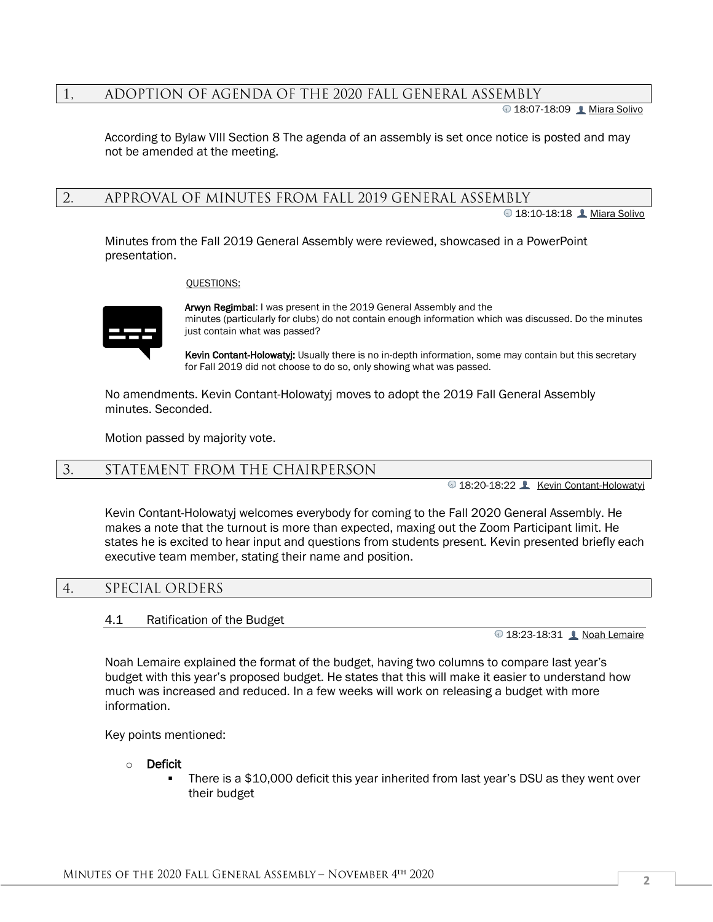#### ADOPTION OF AGENDA OF THE 2020 FALL GENERAL ASSEMBLY 1.

18:07-18:09 Miara Solivo

According to Bylaw VIII Section 8 The agenda of an assembly is set once notice is posted and may not be amended at the meeting.

APPROVAL OF MINUTES FROM FALL 2019 GENERAL ASSEMBLY 2.

**18:10-18:18 Miara Solivo** 

Minutes from the Fall 2019 General Assembly were reviewed, showcased in a PowerPoint presentation.

QUESTIONS:



Arwyn Regimbal: I was present in the 2019 General Assembly and the minutes (particularly for clubs) do not contain enough information which was discussed. Do the minutes just contain what was passed?

Kevin Contant-Holowatyj: Usually there is no in-depth information, some may contain but this secretary for Fall 2019 did not choose to do so, only showing what was passed.

No amendments. Kevin Contant-Holowatyj moves to adopt the 2019 Fall General Assembly minutes. Seconded.

Motion passed by majority vote.

#### STATEMENT FROM THE CHAIRPERSON  $3.$

18:20-18:22 **Kevin Contant-Holowatyj** 

Kevin Contant-Holowatyj welcomes everybody for coming to the Fall 2020 General Assembly. He makes a note that the turnout is more than expected, maxing out the Zoom Participant limit. He states he is excited to hear input and questions from students present. Kevin presented briefly each executive team member, stating their name and position.

#### $4.$ SPECIAL ORDERS

## 4.1 Ratification of the Budget

18:23-18:31Noah Lemaire

Noah Lemaire explained the format of the budget, having two columns to compare last year's budget with this year's proposed budget. He states that this will make it easier to understand how much was increased and reduced. In a few weeks will work on releasing a budget with more information.

Key points mentioned:

#### o Deficit

There is a \$10,000 deficit this year inherited from last year's DSU as they went over their budget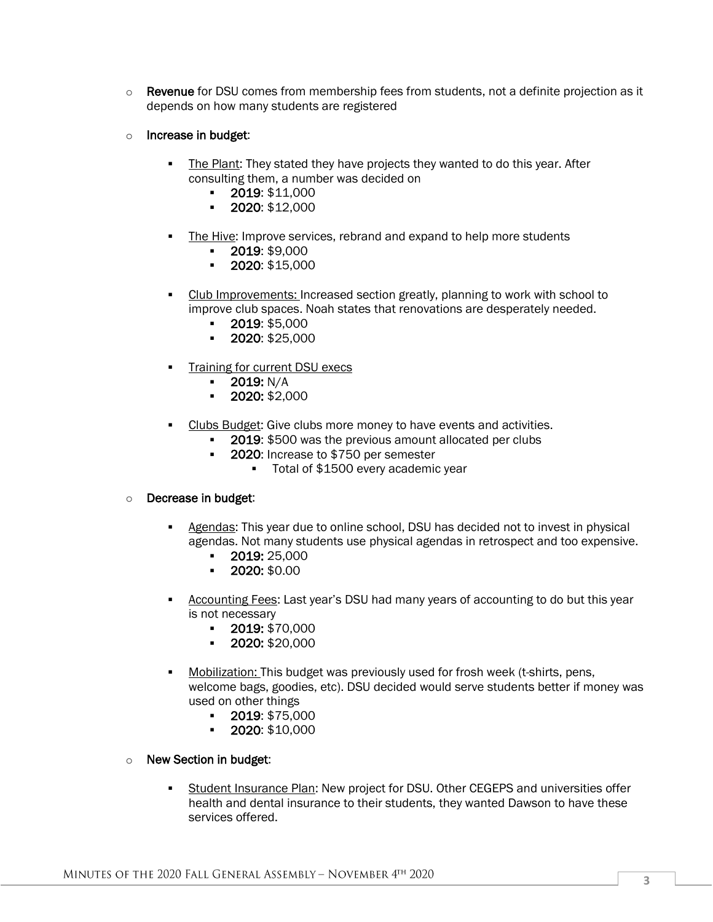- $\circ$  Revenue for DSU comes from membership fees from students, not a definite projection as it depends on how many students are registered
- o Increase in budget:
	- The Plant: They stated they have projects they wanted to do this year. After consulting them, a number was decided on
		- 2019: \$11,000
		- 2020: \$12,000
	- The Hive: Improve services, rebrand and expand to help more students
		- 2019: \$9,000
		- 2020: \$15,000
	- Club Improvements: Increased section greatly, planning to work with school to improve club spaces. Noah states that renovations are desperately needed.
		- 2019: \$5,000
		- 2020: \$25,000
	- **Training for current DSU execs** 
		- **•** 2019: N/A
		- $\cdot$  2020: \$2,000
	- Clubs Budget: Give clubs more money to have events and activities.
		- **2019: \$500 was the previous amount allocated per clubs**
		- 2020: Increase to \$750 per semester
			- Total of \$1500 every academic year

## o Decrease in budget:

- Agendas: This year due to online school, DSU has decided not to invest in physical agendas. Not many students use physical agendas in retrospect and too expensive.
	- 2019: 25,000
	- 2020: \$0.00
- Accounting Fees: Last year's DSU had many years of accounting to do but this year is not necessary
	- 2019: \$70,000
	- 2020: \$20,000
- **Mobilization:** This budget was previously used for frosh week (t-shirts, pens, welcome bags, goodies, etc). DSU decided would serve students better if money was used on other things
	- 2019: \$75,000
	- 2020: \$10,000

## o New Section in budget:

**EXECTED Student Insurance Plan: New project for DSU. Other CEGEPS and universities offer** health and dental insurance to their students, they wanted Dawson to have these services offered.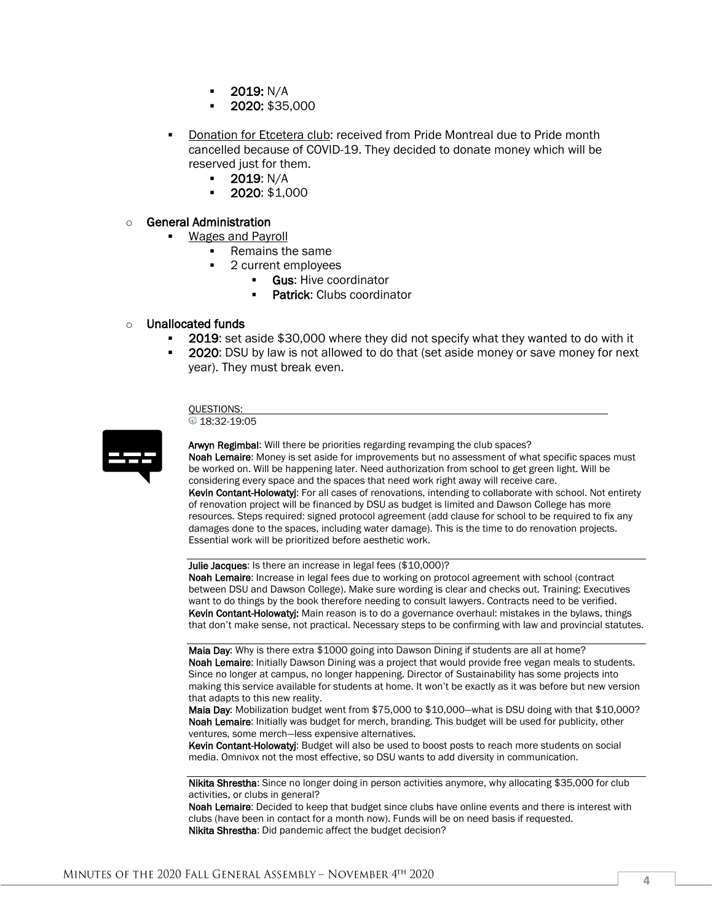- 2019: N/A
- 2020: \$35,000
- Donation for Etcetera club: received from Pride Montreal due to Pride month cancelled because of COVID-19. They decided to donate money which will be reserved just for them.
	- 2019: N/A
	- 2020: \$1,000

#### o General Administration

- **Wages and Payroll** 
	- Remains the same
		- 2 current employees
			- **Gus: Hive coordinator**
			- Patrick: Clubs coordinator

#### o Unallocated funds

- **2019:** set aside \$30,000 where they did not specify what they wanted to do with it
- **2020:** DSU by law is not allowed to do that (set aside money or save money for next year). They must break even.

#### QUESTIONS:

<sup>18:32-19:05</sup>



Arwyn Regimbal: Will there be priorities regarding revamping the club spaces? Noah Lemaire: Money is set aside for improvements but no assessment of what specific spaces must be worked on. Will be happening later. Need authorization from school to get green light. Will be considering every space and the spaces that need work right away will receive care. Kevin Contant-Holowatyj: For all cases of renovations, intending to collaborate with school. Not entirety of renovation project will be financed by DSU as budget is limited and Dawson College has more resources. Steps required: signed protocol agreement (add clause for school to be required to fix any damages done to the spaces, including water damage). This is the time to do renovation projects. Essential work will be prioritized before aesthetic work.

Julie Jacques: Is there an increase in legal fees (\$10,000)?

Noah Lemaire: Increase in legal fees due to working on protocol agreement with school (contract between DSU and Dawson College). Make sure wording is clear and checks out. Training: Executives want to do things by the book therefore needing to consult lawyers. Contracts need to be verified. Kevin Contant-Holowatyj: Main reason is to do a governance overhaul: mistakes in the bylaws, things that don't make sense, not practical. Necessary steps to be confirming with law and provincial statutes.

Maia Day: Why is there extra \$1000 going into Dawson Dining if students are all at home? Noah Lemaire: Initially Dawson Dining was a project that would provide free vegan meals to students. Since no longer at campus, no longer happening. Director of Sustainability has some projects into making this service available for students at home. It won't be exactly as it was before but new version that adapts to this new reality.

Maia Day: Mobilization budget went from \$75,000 to \$10,000—what is DSU doing with that \$10,000? Noah Lemaire: Initially was budget for merch, branding. This budget will be used for publicity, other ventures, some merch—less expensive alternatives.

Kevin Contant-Holowatyj: Budget will also be used to boost posts to reach more students on social media. Omnivox not the most effective, so DSU wants to add diversity in communication.

Nikita Shrestha: Since no longer doing in person activities anymore, why allocating \$35,000 for club activities, or clubs in general?

Noah Lemaire: Decided to keep that budget since clubs have online events and there is interest with clubs (have been in contact for a month now). Funds will be on need basis if requested. Nikita Shrestha: Did pandemic affect the budget decision?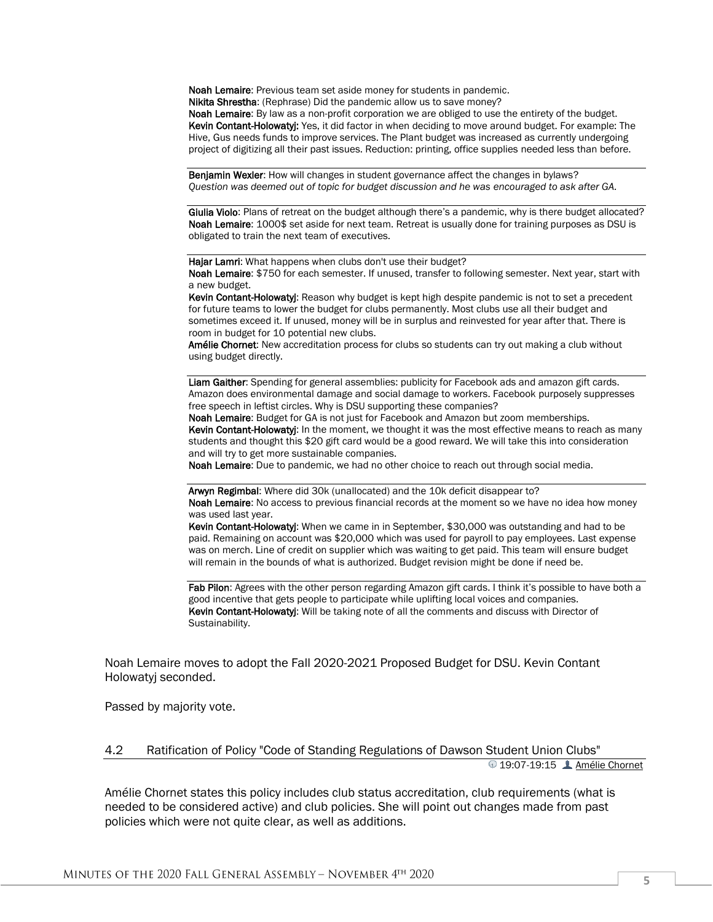Noah Lemaire: Previous team set aside money for students in pandemic.

Nikita Shrestha: (Rephrase) Did the pandemic allow us to save money?

Noah Lemaire: By law as a non-profit corporation we are obliged to use the entirety of the budget. Kevin Contant-Holowatyj: Yes, it did factor in when deciding to move around budget. For example: The Hive, Gus needs funds to improve services. The Plant budget was increased as currently undergoing project of digitizing all their past issues. Reduction: printing, office supplies needed less than before.

Benjamin Wexler: How will changes in student governance affect the changes in bylaws? *Question was deemed out of topic for budget discussion and he was encouraged to ask after GA.*

Giulia Violo: Plans of retreat on the budget although there's a pandemic, why is there budget allocated? Noah Lemaire: 1000\$ set aside for next team. Retreat is usually done for training purposes as DSU is obligated to train the next team of executives.

Hajar Lamri: What happens when clubs don't use their budget?

Noah Lemaire: \$750 for each semester. If unused, transfer to following semester. Next year, start with a new budget.

Kevin Contant-Holowatyi: Reason why budget is kept high despite pandemic is not to set a precedent for future teams to lower the budget for clubs permanently. Most clubs use all their budget and sometimes exceed it. If unused, money will be in surplus and reinvested for year after that. There is room in budget for 10 potential new clubs.

Amélie Chornet: New accreditation process for clubs so students can try out making a club without using budget directly.

Liam Gaither: Spending for general assemblies: publicity for Facebook ads and amazon gift cards. Amazon does environmental damage and social damage to workers. Facebook purposely suppresses free speech in leftist circles. Why is DSU supporting these companies?

Noah Lemaire: Budget for GA is not just for Facebook and Amazon but zoom memberships. Kevin Contant-Holowatyj: In the moment, we thought it was the most effective means to reach as many students and thought this \$20 gift card would be a good reward. We will take this into consideration and will try to get more sustainable companies.

Noah Lemaire: Due to pandemic, we had no other choice to reach out through social media.

Arwyn Regimbal: Where did 30k (unallocated) and the 10k deficit disappear to?

Noah Lemaire: No access to previous financial records at the moment so we have no idea how money was used last year.

Kevin Contant-Holowatyj: When we came in in September, \$30,000 was outstanding and had to be paid. Remaining on account was \$20,000 which was used for payroll to pay employees. Last expense was on merch. Line of credit on supplier which was waiting to get paid. This team will ensure budget will remain in the bounds of what is authorized. Budget revision might be done if need be.

Fab Pilon: Agrees with the other person regarding Amazon gift cards. I think it's possible to have both a good incentive that gets people to participate while uplifting local voices and companies. Kevin Contant-Holowatyj: Will be taking note of all the comments and discuss with Director of Sustainability.

Noah Lemaire moves to adopt the Fall 2020-2021 Proposed Budget for DSU. Kevin Contant Holowatyj seconded.

Passed by majority vote.

#### 4.2 Ratification of Policy "Code of Standing Regulations of Dawson Student Union Clubs" 19:07-19:15Amélie Chornet

Amélie Chornet states this policy includes club status accreditation, club requirements (what is needed to be considered active) and club policies. She will point out changes made from past policies which were not quite clear, as well as additions.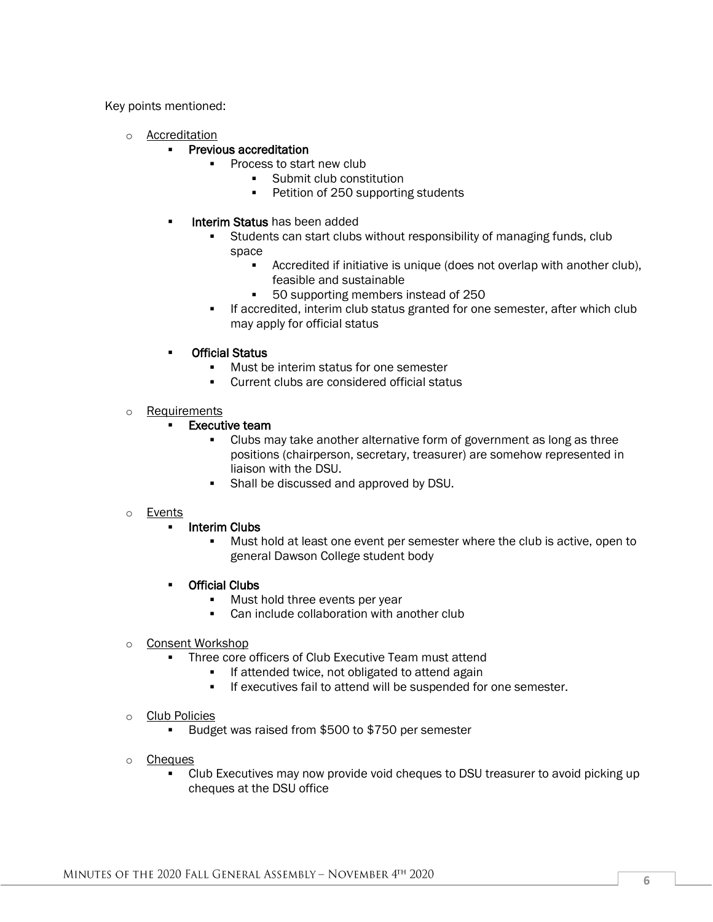Key points mentioned:

o Accreditation

#### ▪ Previous accreditation

- Process to start new club
	- Submit club constitution
	- Petition of 250 supporting students
- **Interim Status has been added** 
	- Students can start clubs without responsibility of managing funds, club space
		- Accredited if initiative is unique (does not overlap with another club), feasible and sustainable
		- 50 supporting members instead of 250
	- **.** If accredited, interim club status granted for one semester, after which club may apply for official status
- **Official Status** 
	- Must be interim status for one semester
	- Current clubs are considered official status
- o Requirements
	- **Executive team** 
		- Clubs may take another alternative form of government as long as three positions (chairperson, secretary, treasurer) are somehow represented in liaison with the DSU.
		- Shall be discussed and approved by DSU.

## o Events

- Interim Clubs
	- Must hold at least one event per semester where the club is active, open to general Dawson College student body
- Official Clubs
	- Must hold three events per year
	- Can include collaboration with another club
- o Consent Workshop
	- Three core officers of Club Executive Team must attend
		- **.** If attended twice, not obligated to attend again
		- If executives fail to attend will be suspended for one semester.
- o Club Policies
	- Budget was raised from \$500 to \$750 per semester
- o Cheques
	- Club Executives may now provide void cheques to DSU treasurer to avoid picking up cheques at the DSU office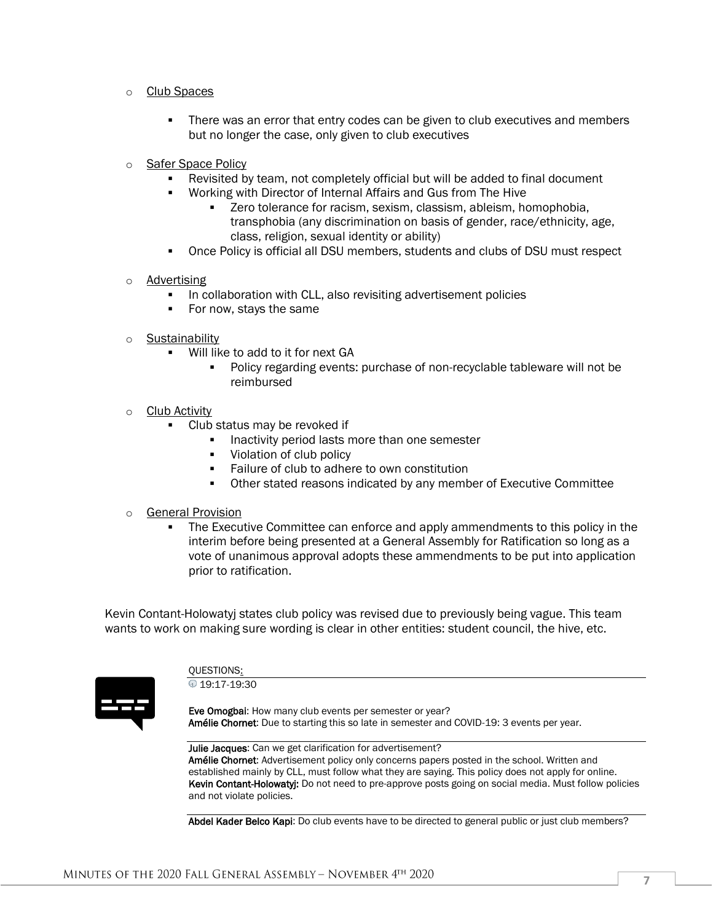#### o Club Spaces

- There was an error that entry codes can be given to club executives and members but no longer the case, only given to club executives
- o Safer Space Policy
	- Revisited by team, not completely official but will be added to final document
	- Working with Director of Internal Affairs and Gus from The Hive
		- Zero tolerance for racism, sexism, classism, ableism, homophobia, transphobia (any discrimination on basis of gender, race/ethnicity, age, class, religion, sexual identity or ability)
	- Once Policy is official all DSU members, students and clubs of DSU must respect
- o Advertising
	- **•** In collaboration with CLL, also revisiting advertisement policies
	- For now, stays the same
- o **Sustainability** 
	- Will like to add to it for next GA
		- Policy regarding events: purchase of non-recyclable tableware will not be reimbursed
- o Club Activity
	- Club status may be revoked if
		- **.** Inactivity period lasts more than one semester
		- Violation of club policy
		- Failure of club to adhere to own constitution
		- Other stated reasons indicated by any member of Executive Committee
- o General Provision
	- **The Executive Committee can enforce and apply ammendments to this policy in the** interim before being presented at a General Assembly for Ratification so long as a vote of unanimous approval adopts these ammendments to be put into application prior to ratification.

Kevin Contant-Holowatyj states club policy was revised due to previously being vague. This team wants to work on making sure wording is clear in other entities: student council, the hive, etc.



#### QUESTIONS: 19:17-19:30

Eve Omogbai: How many club events per semester or year? Amélie Chornet: Due to starting this so late in semester and COVID-19: 3 events per year.

Julie Jacques: Can we get clarification for advertisement? Amélie Chornet: Advertisement policy only concerns papers posted in the school. Written and established mainly by CLL, must follow what they are saying. This policy does not apply for online. Kevin Contant-Holowatyj: Do not need to pre-approve posts going on social media. Must follow policies and not violate policies.

Abdel Kader Belco Kapi: Do club events have to be directed to general public or just club members?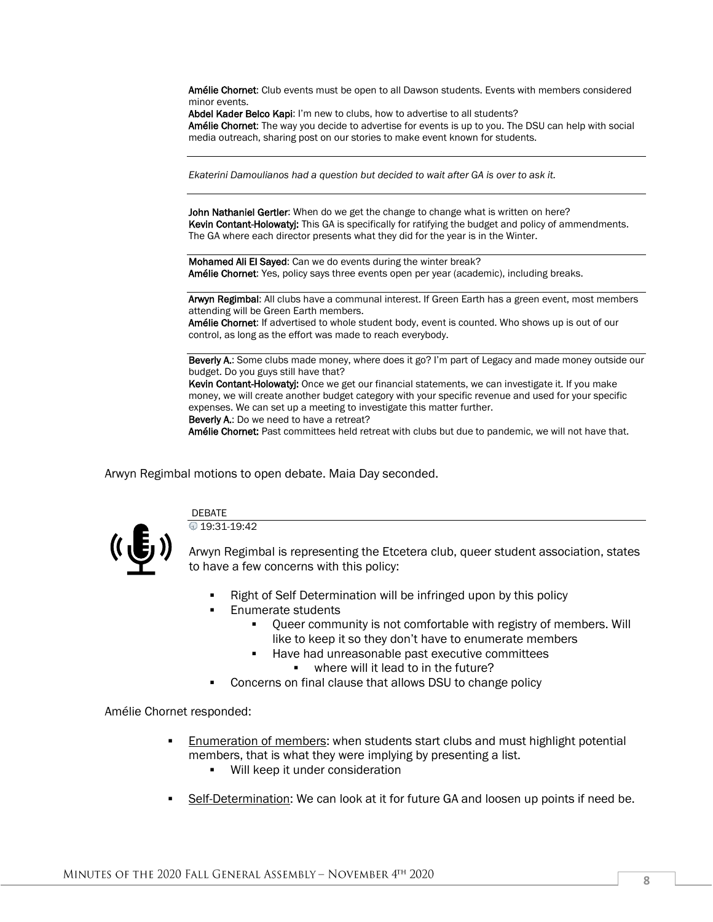Amélie Chornet: Club events must be open to all Dawson students. Events with members considered minor events.

Abdel Kader Belco Kapi: I'm new to clubs, how to advertise to all students?

Amélie Chornet: The way you decide to advertise for events is up to you. The DSU can help with social media outreach, sharing post on our stories to make event known for students.

*Ekaterini Damoulianos had a question but decided to wait after GA is over to ask it.*

John Nathaniel Gertler: When do we get the change to change what is written on here? Kevin Contant-Holowatyj: This GA is specifically for ratifying the budget and policy of ammendments. The GA where each director presents what they did for the year is in the Winter.

Mohamed Ali El Sayed: Can we do events during the winter break? Amélie Chornet: Yes, policy says three events open per year (academic), including breaks.

Arwyn Regimbal: All clubs have a communal interest. If Green Earth has a green event, most members attending will be Green Earth members.

Amélie Chornet: If advertised to whole student body, event is counted. Who shows up is out of our control, as long as the effort was made to reach everybody.

Beverly A.: Some clubs made money, where does it go? I'm part of Legacy and made money outside our budget. Do you guys still have that?

Kevin Contant-Holowatyj: Once we get our financial statements, we can investigate it. If you make money, we will create another budget category with your specific revenue and used for your specific expenses. We can set up a meeting to investigate this matter further. Beverly A.: Do we need to have a retreat?

Amélie Chornet: Past committees held retreat with clubs but due to pandemic, we will not have that.

Arwyn Regimbal motions to open debate. Maia Day seconded.



**DEBATE**  $0$  19:31-19:42

Arwyn Regimbal is representing the Etcetera club, queer student association, states to have a few concerns with this policy:

- Right of Self Determination will be infringed upon by this policy
- **Enumerate students** 
	- Queer community is not comfortable with registry of members. Will like to keep it so they don't have to enumerate members
	- Have had unreasonable past executive committees
		- where will it lead to in the future?
- Concerns on final clause that allows DSU to change policy

Amélie Chornet responded:

- Enumeration of members: when students start clubs and must highlight potential members, that is what they were implying by presenting a list.
	- Will keep it under consideration
- Self-Determination: We can look at it for future GA and loosen up points if need be.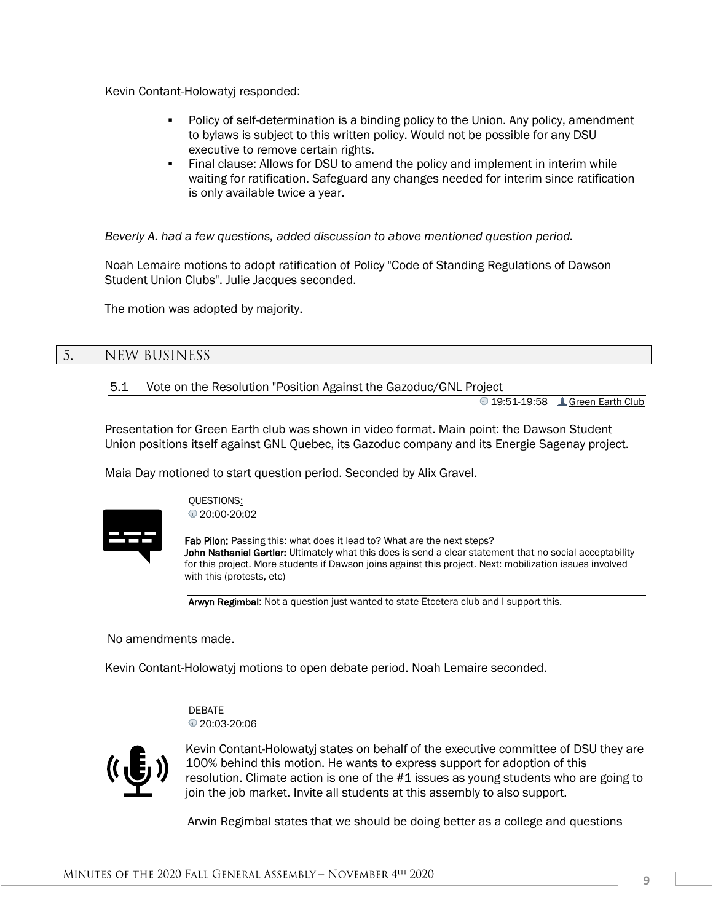Kevin Contant-Holowatyj responded:

- Policy of self-determination is a binding policy to the Union. Any policy, amendment to bylaws is subject to this written policy. Would not be possible for any DSU executive to remove certain rights.
- Final clause: Allows for DSU to amend the policy and implement in interim while waiting for ratification. Safeguard any changes needed for interim since ratification is only available twice a year.

*Beverly A. had a few questions, added discussion to above mentioned question period.*

Noah Lemaire motions to adopt ratification of Policy "Code of Standing Regulations of Dawson Student Union Clubs". Julie Jacques seconded.

The motion was adopted by majority.

#### 5. NEW BUSINESS

## 5.1 Vote on the Resolution "Position Against the Gazoduc/GNL Project

**19:51-19:58 Creen Earth Club** 

Presentation for Green Earth club was shown in video format. Main point: the Dawson Student Union positions itself against GNL Quebec, its Gazoduc company and its Energie Sagenay project.

Maia Day motioned to start question period. Seconded by Alix Gravel.



QUESTIONS:  $0.20:00-20:02$ 

Fab Pilon: Passing this: what does it lead to? What are the next steps? John Nathaniel Gertler: Ultimately what this does is send a clear statement that no social acceptability for this project. More students if Dawson joins against this project. Next: mobilization issues involved with this (protests, etc)

Arwyn Regimbal: Not a question just wanted to state Etcetera club and I support this.

No amendments made.

Kevin Contant-Holowatyj motions to open debate period. Noah Lemaire seconded.

**DEBATE** 20:03-20:06



Kevin Contant-Holowatyj states on behalf of the executive committee of DSU they are 100% behind this motion. He wants to express support for adoption of this resolution. Climate action is one of the #1 issues as young students who are going to join the job market. Invite all students at this assembly to also support.

Arwin Regimbal states that we should be doing better as a college and questions